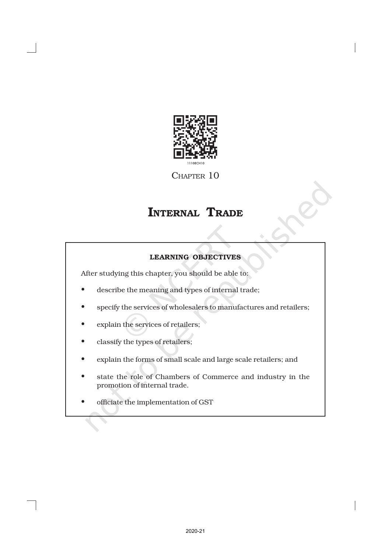

CHAPTER 10

# INTERNAL TRADE

# LEARNING OBJECTIVES

After studying this chapter, you should be able to:

- describe the meaning and types of internal trade;
- specify the services of wholesalers to manufactures and retailers;
- explain the services of retailers;
- classify the types of retailers;
- explain the forms of small scale and large scale retailers; and
- state the role of Chambers of Commerce and industry in the promotion of internal trade.
- officiate the implementation of GST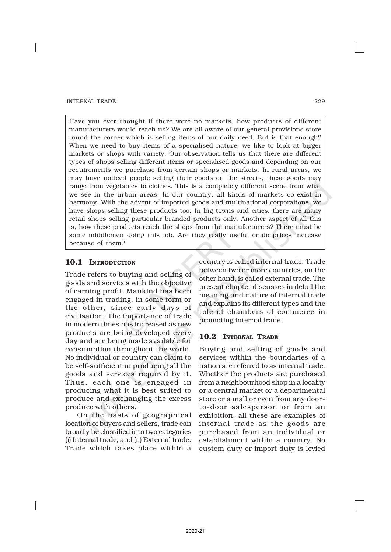Have you ever thought if there were no markets, how products of different manufacturers would reach us? We are all aware of our general provisions store round the corner which is selling items of our daily need. But is that enough? When we need to buy items of a specialised nature, we like to look at bigger markets or shops with variety. Our observation tells us that there are different types of shops selling different items or specialised goods and depending on our requirements we purchase from certain shops or markets. In rural areas, we may have noticed people selling their goods on the streets, these goods may range from vegetables to clothes. This is a completely different scene from what we see in the urban areas. In our country, all kinds of markets co-exist in harmony. With the advent of imported goods and multinational corporations, we have shops selling these products too. In big towns and cities, there are many retail shops selling particular branded products only. Another aspect of all this is, how these products reach the shops from the manufacturers? There must be some middlemen doing this job. Are they really useful or do prices increase because of them?

# 10.1 INTRODUCTION

Trade refers to buying and selling of goods and services with the objective of earning profit. Mankind has been engaged in trading, in some form or the other, since early days of civilisation. The importance of trade in modern times has increased as new products are being developed every day and are being made available for consumption throughout the world. No individual or country can claim to be self-sufficient in producing all the goods and services required by it. Thus, each one is engaged in producing what it is best suited to produce and exchanging the excess produce with others.

On the basis of geographical location of buyers and sellers, trade can broadly be classified into two categories (i) Internal trade; and (ii) External trade. Trade which takes place within a

country is called internal trade. Trade between two or more countries, on the other hand, is called external trade. The present chapter discusses in detail the meaning and nature of internal trade and explains its different types and the role of chambers of commerce in promoting internal trade.

# 10.2 INTERNAL TRADE

Buying and selling of goods and services within the boundaries of a nation are referred to as internal trade. Whether the products are purchased from a neighbourhood shop in a locality or a central market or a departmental store or a mall or even from any doorto-door salesperson or from an exhibition, all these are examples of internal trade as the goods are purchased from an individual or establishment within a country. No custom duty or import duty is levied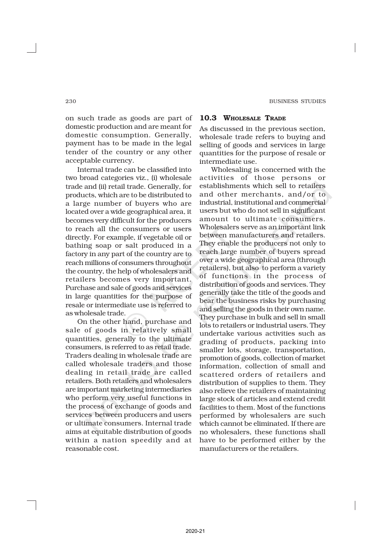on such trade as goods are part of domestic production and are meant for domestic consumption. Generally, payment has to be made in the legal tender of the country or any other acceptable currency.

Internal trade can be classified into two broad categories viz., (i) wholesale trade and (ii) retail trade. Generally, for products, which are to be distributed to a large number of buyers who are located over a wide geographical area, it becomes very difficult for the producers to reach all the consumers or users directly. For example, if vegetable oil or bathing soap or salt produced in a factory in any part of the country are to reach millions of consumers throughout the country, the help of wholesalers and retailers becomes very important. Purchase and sale of goods and services in large quantities for the purpose of resale or intermediate use is referred to as wholesale trade.

On the other hand, purchase and sale of goods in relatively small quantities, generally to the ultimate consumers, is referred to as retail trade. Traders dealing in wholesale trade are called wholesale traders and those dealing in retail trade are called retailers. Both retailers and wholesalers are important marketing intermediaries who perform very useful functions in the process of exchange of goods and services between producers and users or ultimate consumers. Internal trade aims at equitable distribution of goods within a nation speedily and at reasonable cost.

# 10.3 WHOLESALE TRADE

As discussed in the previous section, wholesale trade refers to buying and selling of goods and services in large quantities for the purpose of resale or intermediate use.

Wholesaling is concerned with the activities of those persons or establishments which sell to retailers and other merchants, and/or to industrial, institutional and commercial users but who do not sell in significant amount to ultimate consumers. Wholesalers serve as an important link between manufacturers and retailers. They enable the producers not only to reach large number of buyers spread over a wide geographical area (through retailers), but also to perform a variety of functions in the process of distribution of goods and services. They generally take the title of the goods and bear the business risks by purchasing and selling the goods in their own name. They purchase in bulk and sell in small lots to retailers or industrial users. They undertake various activities such as grading of products, packing into smaller lots, storage, transportation, promotion of goods, collection of market information, collection of small and scattered orders of retailers and distribution of supplies to them. They also relieve the retailers of maintaining large stock of articles and extend credit facilities to them. Most of the functions performed by wholesalers are such which cannot be eliminated. If there are no wholesalers, these functions shall have to be performed either by the manufacturers or the retailers.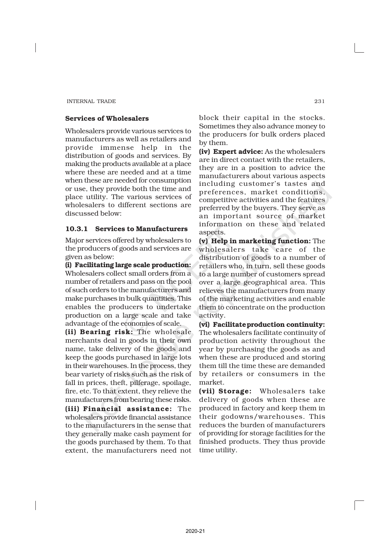# Services of Wholesalers

Wholesalers provide various services to manufacturers as well as retailers and provide immense help in the distribution of goods and services. By making the products available at a place where these are needed and at a time when these are needed for consumption or use, they provide both the time and place utility. The various services of wholesalers to different sections are discussed below:

# 10.3.1 Services to Manufacturers

Major services offered by wholesalers to the producers of goods and services are given as below:

(i) Facilitating large scale production: Wholesalers collect small orders from a number of retailers and pass on the pool of such orders to the manufacturers and make purchases in bulk quantities. This enables the producers to undertake production on a large scale and take advantage of the economies of scale.

(ii) Bearing risk: The wholesale merchants deal in goods in their own name, take delivery of the goods and keep the goods purchased in large lots in their warehouses. In the process, they bear variety of risks such as the risk of fall in prices, theft, pilferage, spoilage, fire, etc. To that extent, they relieve the manufacturers from bearing these risks.

(iii) Financial assistance: The wholesalers provide financial assistance to the manufacturers in the sense that they generally make cash payment for the goods purchased by them. To that extent, the manufacturers need not block their capital in the stocks. Sometimes they also advance money to the producers for bulk orders placed by them.

(iv) Expert advice: As the wholesalers are in direct contact with the retailers, they are in a position to advice the manufacturers about various aspects including customer's tastes and preferences, market conditions, competitive activities and the features preferred by the buyers. They serve as an important source of market information on these and related aspects.

(v) Help in marketing function: The wholesalers take care of the distribution of goods to a number of retailers who, in turn, sell these goods to a large number of customers spread over a large geographical area. This relieves the manufacturers from many of the marketing activities and enable them to concentrate on the production activity.

(vi) Facilitateproduction continuity: The wholesalers facilitate continuity of production activity throughout the year by purchasing the goods as and when these are produced and storing them till the time these are demanded by retailers or consumers in the market.

(vii) Storage: Wholesalers take delivery of goods when these are produced in factory and keep them in their godowns/warehouses. This reduces the burden of manufacturers of providing for storage facilities for the finished products. They thus provide time utility.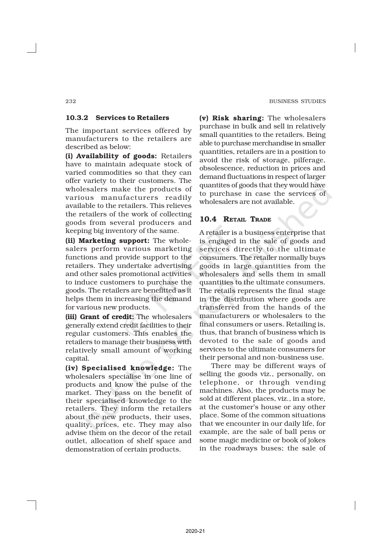#### 10.3.2 Services to Retailers

The important services offered by manufacturers to the retailers are described as below:

(i) Availability of goods: Retailers have to maintain adequate stock of varied commodities so that they can offer variety to their customers. The wholesalers make the products of various manufacturers readily available to the retailers. This relieves the retailers of the work of collecting goods from several producers and keeping big inventory of the same.

(ii) Marketing support: The wholesalers perform various marketing functions and provide support to the retailers. They undertake advertising and other sales promotional activities to induce customers to purchase the goods. The retailers are benefitted as it helps them in increasing the demand for various new products.

(iii) Grant of credit: The wholesalers generally extend credit facilities to their regular customers. This enables the retailers to manage their business with relatively small amount of working capital.

(iv) Specialised knowledge: The wholesalers specialise in one line of products and know the pulse of the market. They pass on the benefit of their specialised knowledge to the retailers. They inform the retailers about the new products, their uses, quality, prices, etc. They may also advise them on the decor of the retail outlet, allocation of shelf space and demonstration of certain products.

(v) Risk sharing: The wholesalers purchase in bulk and sell in relatively small quantities to the retailers. Being able to purchase merchandise in smaller quantities, retailers are in a position to avoid the risk of storage, pilferage, obsolescence, reduction in prices and demand fluctuations in respect of larger quantites of goods that they would have to purchase in case the services of wholesalers are not available.

# 10.4 RETAIL TRADE

A retailer is a business enterprise that is engaged in the sale of goods and services directly to the ultimate consumers. The retailer normally buys goods in large quantities from the wholesalers and sells them in small quantities to the ultimate consumers. The retails represents the final stage in the distribution where goods are transferred from the hands of the manufacturers or wholesalers to the final consumers or users. Retailing is, thus, that branch of business which is devoted to the sale of goods and services to the ultimate consumers for their personal and non-business use.

There may be different ways of selling the goods viz., personally, on telephone, or through vending machines. Also, the products may be sold at different places, viz., in a store, at the customer's house or any other place. Some of the common situations that we encounter in our daily life, for example, are the sale of ball pens or some magic medicine or book of jokes in the roadways buses; the sale of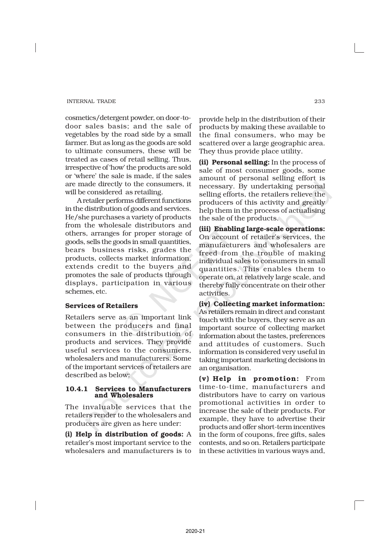cosmetics/detergent powder, on door-todoor sales basis; and the sale of vegetables by the road side by a small farmer. But as long as the goods are sold to ultimate consumers, these will be treated as cases of retail selling. Thus, irrespective of 'how' the products are sold or 'where' the sale is made, if the sales are made directly to the consumers, it will be considered as retailing.

A retailer performs different functions in the distribution of goods and services. He/she purchases a variety of products from the wholesale distributors and others, arranges for proper storage of goods, sells the goods in small quantities, bears business risks, grades the products, collects market information, extends credit to the buyers and promotes the sale of products through displays, participation in various schemes, etc.

# Services of Retailers

Retailers serve as an important link between the producers and final consumers in the distribution of products and services. They provide useful services to the consumers, wholesalers and manufacturers. Some of the important services of retailers are described as below:

#### 10.4.1 Services to Manufacturers and Wholesalers

The invaluable services that the retailers render to the wholesalers and producers are given as here under:

(i) Help in distribution of goods: A retailer's most important service to the wholesalers and manufacturers is to

provide help in the distribution of their products by making these available to the final consumers, who may be scattered over a large geographic area. They thus provide place utility.

(ii) Personal selling: In the process of sale of most consumer goods, some amount of personal selling effort is necessary. By undertaking personal selling efforts, the retailers relieve the producers of this activity and greatly help them in the process of actualising the sale of the products.

(iii) Enabling large-scale operations: On account of retailer's services, the manufacturers and wholesalers are freed from the trouble of making individual sales to consumers in small quantities. This enables them to operate on, at relatively large scale, and thereby fully concentrate on their other activities.

(iv) Collecting market information: As retailers remain in direct and constant touch with the buyers, they serve as an important source of collecting market information about the tastes, preferences and attitudes of customers. Such information is considered very useful in taking important marketing decisions in an organisation.

(v) Help in promotion: From time-to-time, manufacturers and distributors have to carry on various promotional activities in order to increase the sale of their products. For example, they have to advertise their products and offer short-term incentives in the form of coupons, free gifts, sales contests, and so on. Retailers participate in these activities in various ways and,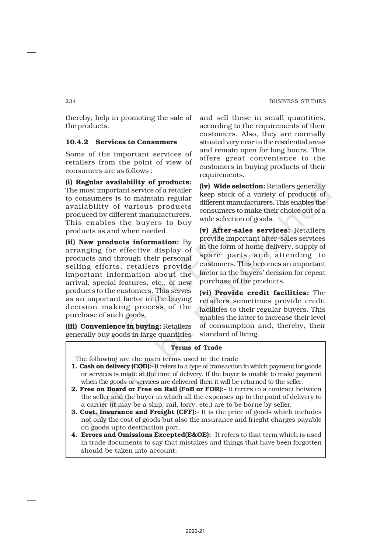thereby, help in promoting the sale of the products.

# 10.4.2 Services to Consumers

Some of the important services of retailers from the point of view of consumers are as follows :

(i) Regular availability of products: The most important service of a retailer to consumers is to maintain regular availability of various products produced by different manufacturers. This enables the buyers to buy products as and when needed.

(ii) New products information: By arranging for effective display of products and through their personal selling efforts, retailers provide important information about the arrival, special features, etc., of new products to the customers. This serves as an important factor in the buying decision making process of the purchase of such goods.

(iii) Convenience in buying: Retailers generally buy goods in large quantities and sell these in small quantities, according to the requirements of their customers. Also, they are normally situated very near to the residential areas and remain open for long hours. This offers great convenience to the customers in buying products of their requirements.

(iv) Wide selection: Retailers generally keep stock of a variety of products of different manufacturers. This enables the consumers to make their choice out of a wide selection of goods.

(v) After-sales services: Retailers provide important after-sales services in the form of home delivery, supply of spare parts and attending to customers. This becomes an important factor in the buyers' decision for repeat purchase of the products.

(vi) Provide credit facilities: The retailers sometimes provide credit facilities to their regular buyers. This enables the latter to increase their level of consumption and, thereby, their standard of living.

#### Terms of Trade

The following are the main terms used in the trade

- 1. Cash on delivery (COD):- It refers to a type of transaction in which payment for goods or services is made at the time of delivery. If the buyer is unable to make payment when the goods or services are delivered then it will be returned to the seller.
- 2. Free on Board or Free on Rail (FoB or FOR):- It rerers to a contract between the seller and the buyer in which all the expenses up to the point of delivery to a carrier (it may be a ship, rail, lorry, etc.) are to be borne by seller.
- **3. Cost, Insurance and Freight (CFF):** It is the price of goods which includes not only the cost of goods but also the insurance and frieght charges payable on goods upto destination port.
- 4. Errors and Omissions Excepted(E&OE):- It refers to that term which is used in trade documents to say that mistakes and things that have been forgotten should be taken into account.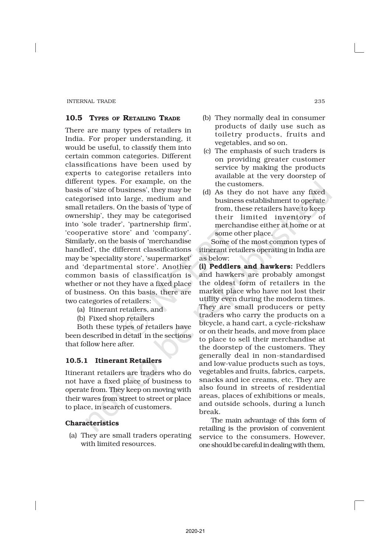# 10.5 TYPES OF RETAILING TRADE

There are many types of retailers in India. For proper understanding, it would be useful, to classify them into certain common categories. Different classifications have been used by experts to categorise retailers into different types. For example, on the basis of 'size of business', they may be categorised into large, medium and small retailers. On the basis of 'type of ownership', they may be categorised into 'sole trader', 'partnership firm', 'cooperative store' and 'company'. Similarly, on the basis of 'merchandise handled', the different classifications may be 'speciality store', 'supermarket' and 'departmental store'. Another common basis of classification is whether or not they have a fixed place of business. On this basis, there are two categories of retailers:

- (a) Itinerant retailers, and
- (b) Fixed shop retailers

Both these types of retailers have been described in detail in the sections that follow here after.

# 10.5.1 Itinerant Retailers

Itinerant retailers are traders who do not have a fixed place of business to operate from. They keep on moving with their wares from street to street or place to place, in search of customers.

# Characteristics

(a) They are small traders operating with limited resources.

- (b) They normally deal in consumer products of daily use such as toiletry products, fruits and vegetables, and so on.
- (c) The emphasis of such traders is on providing greater customer service by making the products available at the very doorstep of the customers.
- (d) As they do not have any fixed business establishment to operate from, these retailers have to keep their limited inventory of merchandise either at home or at some other place.

Some of the most common types of itinerant retailers operating in India are as below:

(i) Peddlers and hawkers: Peddlers and hawkers are probably amongst the oldest form of retailers in the market place who have not lost their utility even during the modern times. They are small producers or petty traders who carry the products on a bicycle, a hand cart, a cycle-rickshaw or on their heads, and move from place to place to sell their merchandise at the doorstep of the customers. They generally deal in non-standardised and low-value products such as toys, vegetables and fruits, fabrics, carpets, snacks and ice creams, etc. They are also found in streets of residential areas, places of exhibitions or meals, and outside schools, during a lunch break.

The main advantage of this form of retailing is the provision of convenient service to the consumers. However, one should be careful in dealing with them,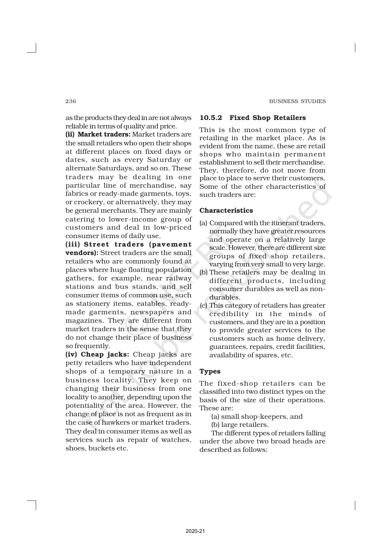as the products they deal in are not always reliable in terms of quality and price.

(ii) Market traders: Market traders are the small retailers who open their shops at different places on fixed days or dates, such as every Saturday or alternate Saturdays, and so on. These traders may be dealing in one particular line of merchandise, say fabrics or ready-made garments, toys, or crockery, or alternatively, they may be general merchants. They are mainly catering to lower -income group of customers and deal in low-priced consumer items of daily use.

(iii) Street traders (pavement vendors): Street traders are the small retailers who are commonly found at places where huge floating population gathers, for example, near railway stations and bus stands, and sell consumer items of common use, such as stationery items, eatables, readymade garments, newspapers and magazines. They are different from market traders in the sense that they do not change their place of business so frequently.

(iv) Cheap jacks: Cheap jacks are petty retailers who have independent shops of a temporary nature in a business locality. They keep on changing their business from one locality to another, depending upon the potentiality of the area. However, the change of place is not as frequent as in the case of hawkers or market traders. They deal in consumer items as well as services such as repair of watches, shoes, buckets etc.

#### 10.5.2 Fixed Shop Retailers

This is the most common type of retailing in the market place. As is evident from the name, these are retail shops who maintain permanent establishment to sell their merchandise. They, therefore, do not move from place to place to serve their customers. Some of the other characteristics of such traders are:

#### Characteristics

- (a) Compared with the itinerant traders, normally they have greater resources and operate on a relatively large scale. However, there are different size groups of fixed shop retailers, varying from very small to very large.
- (b) These retailers may be dealing in different products, including consumer durables as well as nondurables.
- (c) This category of retailers has greater credibility in the minds of customers, and they are in a position to provide greater services to the customers such as home delivery, guarantees, repairs, credit facilities, availability of spares, etc.

#### **Types**

The fixed-shop retailers can be classified into two distinct types on the basis of the size of their operations. These are:

- (a) small shop-keepers, and
- (b) large retailers.

The different types of retailers falling under the above two broad heads are described as follows: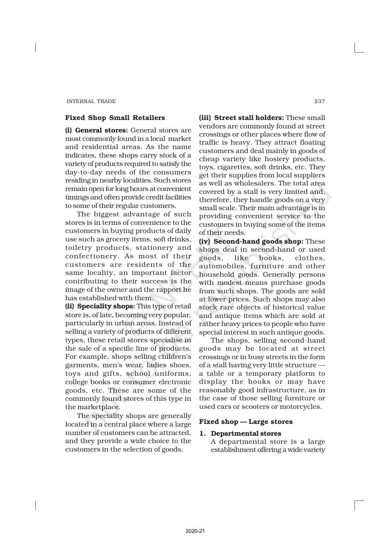#### Fixed Shop Small Retailers

(i) General stores: General stores are most commonly found in a local market and residential areas. As the name indicates, these shops carry stock of a variety of products required to satisfy the day-to-day needs of the consumers residing in nearby localities. Such stores remain open for long hours at convenient timings and often provide credit facilities to some of their regular customers.

The biggest advantage of such stores is in terms of convenience to the customers in buying products of daily use such as grocery items, soft drinks, toiletry products, stationery and confectionery. As most of their customers are residents of the same locality, an important factor contributing to their success is the image of the owner and the rapport he has established with them.

(ii) Speciality shops: This type of retail store is, of late, becoming very popular, particularly in urban areas. Instead of selling a variety of products of different types, these retail stores specialise in the sale of a specific line of products. For example, shops selling children's garments, men's wear, ladies shoes, toys and gifts, school uniforms, college books or consumer electronic goods, etc. These are some of the commonly found stores of this type in the marketplace.

The speciality shops are generally located in a central place where a large number of customers can be attracted, and they provide a wide choice to the customers in the selection of goods.

(iii) Street stall holders: These small vendors are commonly found at street crossings or other places where flow of traffic is heavy. They attract floating customers and deal mainly in goods of cheap variety like hosiery products, toys, cigarettes, soft drinks, etc. They get their supplies from local suppliers as well as wholesalers. The total area covered by a stall is very limited and, therefore, they handle goods on a very small scale. Their main advantage is in providing convenient service to the customers in buying some of the items of their needs.

(iv) Second-hand goods shop: These shops deal in second-hand or used goods, like books, clothes, automobiles, furniture and other household goods. Generally persons with modest means purchase goods from such shops. The goods are sold at lower prices. Such shops may also stock rare objects of historical value and antique items which are sold at rather heavy prices to people who have special interest in such antique goods.

The shops, selling second-hand goods may be located at street crossings or in busy streets in the form of a stall having very little structure a table or a temporary platform to display the books or may have reasonably good infrastructure, as in the case of those selling furniture or used cars or scooters or motorcycles.

#### Fixed shop — Large stores

#### 1. Departmental stores

A departmental store is a large establishment offering a wide variety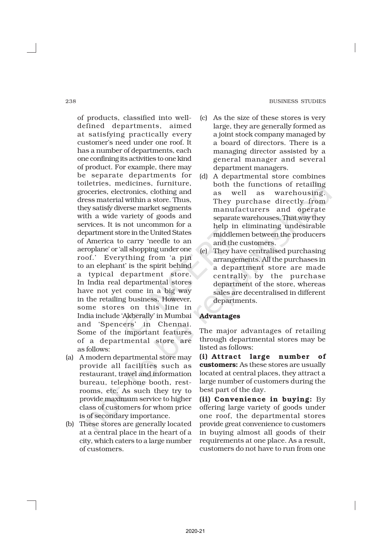#### 238 BUSINESS STUDIES

of products, classified into welldefined departments, aimed at satisfying practically every customer's need under one roof. It has a number of departments, each one confining its activities to one kind of product. For example, there may be separate departments for toiletries, medicines, furniture, groceries, electronics, clothing and dress material within a store. Thus, they satisfy diverse market segments with a wide variety of goods and services. It is not uncommon for a department store in the United States of America to carry 'needle to an aeroplane' or 'all shopping under one roof.' Everything from 'a pin to an elephant' is the spirit behind a typical department store. In India real departmental stores have not yet come in a big way in the retailing business. However, some stores on this line in India include 'Akberally' in Mumbai and 'Spencers' in Chennai. Some of the important features of a departmental store are as follows:

- (a) A modern departmental store may provide all facilities such as restaurant, travel and information bureau, telephone booth, restrooms, etc. As such they try to provide maximum service to higher class of customers for whom price is of secondary importance.
- (b) These stores are generally located at a central place in the heart of a city, which caters to a large number of customers.
- (c) As the size of these stores is very large, they are generally formed as a joint stock company managed by a board of directors. There is a managing director assisted by a general manager and several department managers.
- (d) A departmental store combines both the functions of retailing as well as warehousing. They purchase directly from manufacturers and operate separate warehouses. That way they help in eliminating undesirable middlemen between the producers and the customers.
- (e) They have centralised purchasing arrangements. All the purchases in a department store are made centrally by the purchase department of the store, whereas sales are decentralised in different departments.

# Advantages

The major advantages of retailing through departmental stores may be listed as follows:

(i) Attract large number of customers: As these stores are usually located at central places, they attract a large number of customers during the best part of the day.

(ii) Convenience in buying: By offering large variety of goods under one roof, the departmental stores provide great convenience to customers in buying almost all goods of their requirements at one place. As a result, customers do not have to run from one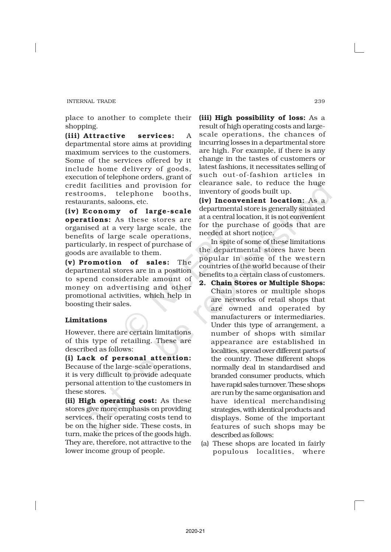place to another to complete their shopping.

(iii) Attractive services: A departmental store aims at providing maximum services to the customers. Some of the services offered by it include home delivery of goods, execution of telephone orders, grant of credit facilities and provision for restrooms, telephone booths, restaurants, saloons, etc.

(iv) Economy of large-scale operations: As these stores are organised at a very large scale, the benefits of large scale operations, particularly, in respect of purchase of goods are available to them.

(v) Promotion of sales: The departmental stores are in a position to spend considerable amount of money on advertising and other promotional activities, which help in boosting their sales.

# Limitations

However, there are certain limitations of this type of retailing. These are described as follows:

(i) Lack of personal attention: Because of the large-scale operations, it is very difficult to provide adequate personal attention to the customers in these stores.

(ii) High operating cost: As these stores give more emphasis on providing services, their operating costs tend to be on the higher side. These costs, in turn, make the prices of the goods high. They are, therefore, not attractive to the lower income group of people.

(iii) High possibility of loss: As a result of high operating costs and largescale operations, the chances of incurring losses in a departmental store are high. For example, if there is any change in the tastes of customers or latest fashions, it necessitates selling of such out-of-fashion articles in clearance sale, to reduce the huge inventory of goods built up.

(iv) Inconvenient location: As a departmental store is generally situated at a central location, it is not convenient for the purchase of goods that are needed at short notice.

In spite of some of these limitations the departmental stores have been popular in some of the western countries of the world because of their benefits to a certain class of customers.

- 2. Chain Stores or Multiple Shops: Chain stores or multiple shops are networks of retail shops that are owned and operated by manufacturers or intermediaries. Under this type of arrangement, a number of shops with similar appearance are established in localities, spread over different parts of the country. These different shops normally deal in standardised and branded consumer products, which have rapid sales turnover. These shops are run by the same organisation and have identical merchandising strategies, with identical products and displays. Some of the important features of such shops may be described as follows:
- (a) These shops are located in fairly populous localities, where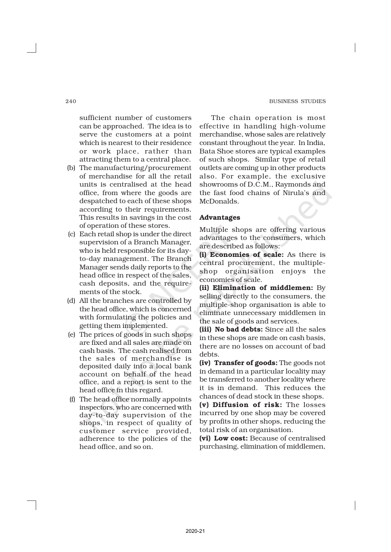sufficient number of customers can be approached. The idea is to serve the customers at a point which is nearest to their residence or work place, rather than attracting them to a central place.

- (b) The manufacturing/procurement of merchandise for all the retail units is centralised at the head office, from where the goods are despatched to each of these shops according to their requirements. This results in savings in the cost of operation of these stores.
- (c) Each retail shop is under the direct supervision of a Branch Manager, who is held responsible for its dayto-day management. The Branch Manager sends daily reports to the head office in respect of the sales, cash deposits, and the requirements of the stock.
- (d) All the branches are controlled by the head office, which is concerned with formulating the policies and getting them implemented.
- (e) The prices of goods in such shops are fixed and all sales are made on cash basis. The cash realised from the sales of merchandise is deposited daily into a local bank account on behalf of the head office, and a report is sent to the head office in this regard.
- (f) The head office normally appoints inspectors, who are concerned with day-to-day supervision of the shops, in respect of quality of customer service provided, adherence to the policies of the head office, and so on.

The chain operation is most effective in handling high-volume merchandise, whose sales are relatively constant throughout the year. In India, Bata Shoe stores are typical examples of such shops. Similar type of retail outlets are coming up in other products also. For example, the exclusive showrooms of D.C.M., Raymonds and the fast food chains of Nirula's and McDonalds.

# Advantages

Multiple shops are offering various advantages to the consumers, which are described as follows:

(i) Economies of scale: As there is central procurement, the multipleshop organisation enjoys the economies of scale.

(ii) Elimination of middlemen: By selling directly to the consumers, the multiple-shop organisation is able to eliminate unnecessary middlemen in the sale of goods and services.

(iii) No bad debts: Since all the sales in these shops are made on cash basis, there are no losses on account of bad debts.

(iv) Transfer of goods: The goods not in demand in a particular locality may be transferred to another locality where it is in demand. This reduces the chances of dead stock in these shops.

(v) Diffusion of risk: The losses incurred by one shop may be covered by profits in other shops, reducing the total risk of an organisation.

(vi) Low cost: Because of centralised purchasing, elimination of middlemen,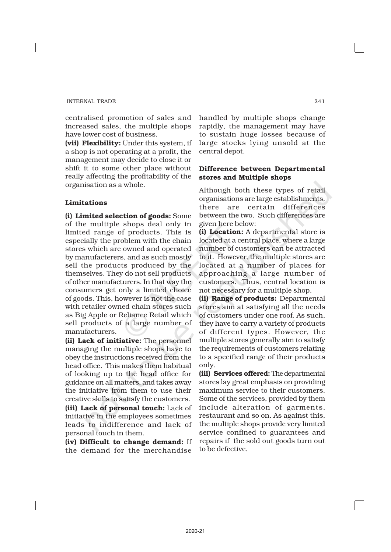centralised promotion of sales and increased sales, the multiple shops have lower cost of business.

(vii) Flexibility: Under this system, if a shop is not operating at a profit, the management may decide to close it or shift it to some other place without really affecting the profitability of the organisation as a whole.

#### Limitations

(i) Limited selection of goods: Some of the multiple shops deal only in limited range of products. This is especially the problem with the chain stores which are owned and operated by manufacterers, and as such mostly sell the products produced by the themselves. They do not sell products of other manufacturers. In that way the consumers get only a limited choice of goods. This, however is not the case with retailer owned chain stores such as Big Apple or Reliance Retail which sell products of a large number of manufacturers.

(ii) Lack of initiative: The personnel managing the multiple shops have to obey the instructions received from the head office. This makes them habitual of looking up to the head office for guidance on all matters, and takes away the initiative from them to use their creative skills to satisfy the customers.

(iii) Lack of personal touch: Lack of initiative in the employees sometimes leads to indifference and lack of personal touch in them.

(iv) Difficult to change demand: If the demand for the merchandise

handled by multiple shops change rapidly, the management may have to sustain huge losses because of large stocks lying unsold at the central depot.

# Difference between Departmental stores and Multiple shops

Although both these types of retail organisations are large establishments, there are certain differences between the two. Such differences are given here below:

(i) Location: A departmental store is located at a central place, where a large number of customers can be attracted to it. However, the multiple stores are located at a number of places for approaching a large number of customers. Thus, central location is not necessary for a multiple shop.

(ii) Range of products: Departmental stores aim at satisfying all the needs of customers under one roof. As such, they have to carry a variety of products of different types. However, the multiple stores generally aim to satisfy the requirements of customers relating to a specified range of their products only.

(iii) Services offered: The departmental stores lay great emphasis on providing maximum service to their customers. Some of the services, provided by them include alteration of garments, restaurant and so on. As against this, the multiple shops provide very limited service confined to guarantees and repairs if the sold out goods turn out to be defective.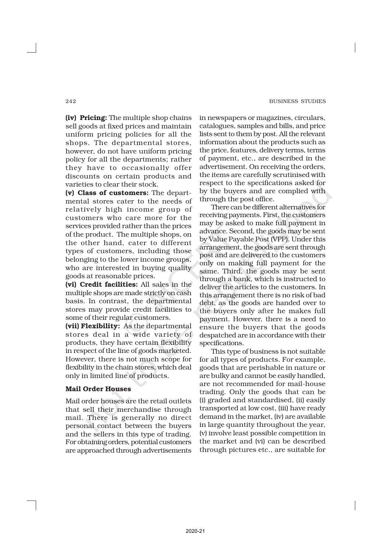(iv) Pricing: The multiple shop chains sell goods at fixed prices and maintain uniform pricing policies for all the shops. The departmental stores, however, do not have uniform pricing policy for all the departments; rather they have to occasionally offer discounts on certain products and varieties to clear their stock.

(v) Class of customers: The departmental stores cater to the needs of relatively high income group of customers who care more for the services provided rather than the prices of the product. The multiple shops, on the other hand, cater to different types of customers, including those belonging to the lower income groups, who are interested in buying quality goods at reasonable prices.

(vi) Credit facilities: All sales in the multiple shops are made strictly on cash basis. In contrast, the departmental stores may provide credit facilities to some of their regular customers.

(vii) Flexibility: As the departmental stores deal in a wide variety of products, they have certain flexibility in respect of the line of goods marketed. However, there is not much scope for flexibility in the chain stores, which deal only in limited line of products.

# Mail Order Houses

Mail order houses are the retail outlets that sell their merchandise through mail. There is generally no direct personal contact between the buyers and the sellers in this type of trading. For obtaining orders, potential customers are approached through advertisements

in newspapers or magazines, circulars, catalogues, samples and bills, and price lists sent to them by post. All the relevant information about the products such as the price, features, delivery terms, terms of payment, etc., are described in the advertisement. On receiving the orders, the items are carefully scrutinised with respect to the specifications asked for by the buyers and are complied with through the post office.

There can be different alternatives for receiving payments. First, the customers may be asked to make full payment in advance. Second, the goods may be sent by Value Payable Post (VPP). Under this arrangement, the goods are sent through post and are delivered to the customers only on making full payment for the same. Third, the goods may be sent through a bank, which is instructed to deliver the articles to the customers. In this arrangement there is no risk of bad debt, as the goods are handed over to the buyers only after he makes full payment. However, there is a need to ensure the buyers that the goods despatched are in accordance with their specifications.

This type of business is not suitable for all types of products. For example, goods that are perishable in nature or are bulky and cannot be easily handled, are not recommended for mail-house trading. Only the goods that can be (i) graded and standardised, (ii) easily transported at low cost, (iii) have ready demand in the market, (iv) are available in large quantity throughout the year, (v) involve least possible competition in the market and (vi) can be described through pictures etc., are suitable for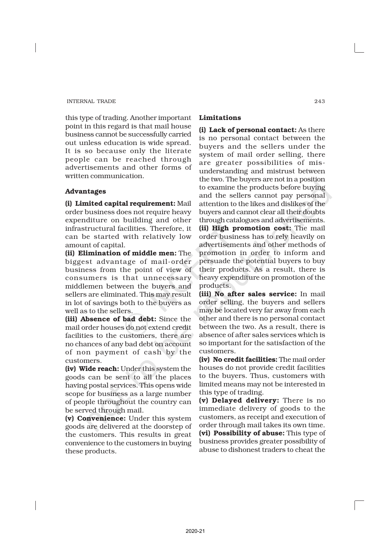this type of trading. Another important point in this regard is that mail house business cannot be successfully carried out unless education is wide spread. It is so because only the literate people can be reached through advertisements and other forms of written communication.

# Advantages

(i) Limited capital requirement: Mail order business does not require heavy expenditure on building and other infrastructural facilities. Therefore, it can be started with relatively low amount of capital.

(ii) Elimination of middle men: The biggest advantage of mail-order business from the point of view of consumers is that unnecessary middlemen between the buyers and sellers are eliminated. This may result in lot of savings both to the buyers as well as to the sellers.

(iii) Absence of bad debt: Since the mail order houses do not extend credit facilities to the customers, there are no chances of any bad debt on account of non payment of cash by the customers.

(iv) Wide reach: Under this system the goods can be sent to all the places having postal services. This opens wide scope for business as a large number of people throughout the country can be served through mail.

(v) Convenience: Under this system goods are delivered at the doorstep of the customers. This results in great convenience to the customers in buying these products.

# Limitations

(i) Lack of personal contact: As there is no personal contact between the buyers and the sellers under the system of mail order selling, there are greater possibilities of misunderstanding and mistrust between the two. The buyers are not in a position to examine the products before buying and the sellers cannot pay personal attention to the likes and dislikes of the buyers and cannot clear all their doubts through catalogues and advertisements. (ii) High promotion cost: The mail order business has to rely heavily on advertisements and other methods of promotion in order to inform and persuade the potential buyers to buy their products. As a result, there is heavy expenditure on promotion of the products.

(iii) No after sales service: In mail order selling, the buyers and sellers may be located very far away from each other and there is no personal contact between the two. As a result, there is absence of after sales services which is so important for the satisfaction of the customers.

(iv) No credit facilities: The mail order houses do not provide credit facilities to the buyers. Thus, customers with limited means may not be interested in this type of trading.

(v) Delayed delivery: There is no immediate delivery of goods to the customers, as receipt and execution of order through mail takes its own time. (vi) Possibility of abuse: This type of business provides greater possibility of abuse to dishonest traders to cheat the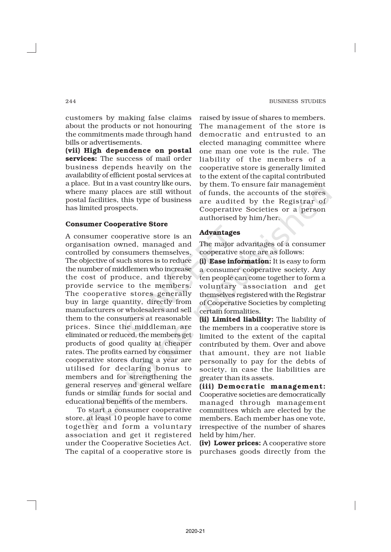customers by making false claims about the products or not honouring the commitments made through hand bills or advertisements.

(vii) High dependence on postal services: The success of mail order business depends heavily on the availability of efficient postal services at a place. But in a vast country like ours, where many places are still without postal facilities, this type of business has limited prospects.

#### Consumer Cooperative Store

A consumer cooperative store is an organisation owned, managed and controlled by consumers themselves. The objective of such stores is to reduce the number of middlemen who increase the cost of produce, and thereby provide service to the members. The cooperative stores generally buy in large quantity, directly from manufacturers or wholesalers and sell them to the consumers at reasonable prices. Since the middleman are eliminated or reduced, the members get products of good quality at cheaper rates. The profits earned by consumer cooperative stores during a year are utilised for declaring bonus to members and for strengthening the general reserves and general welfare funds or similar funds for social and educational benefits of the members.

To start a consumer cooperative store, at least 10 people have to come together and form a voluntary association and get it registered under the Cooperative Societies Act. The capital of a cooperative store is

raised by issue of shares to members. The management of the store is democratic and entrusted to an elected managing committee where one man one vote is the rule. The liability of the members of a cooperative store is generally limited to the extent of the capital contributed by them. To ensure fair management of funds, the accounts of the stores are audited by the Registrar of Cooperative Societies or a person authorised by him/her.

# Advantages

The major advantages of a consumer cooperative store are as follows:

(i) Ease information: It is easy to form a consumer cooperative society. Any ten people can come together to form a voluntary association and get themselves registered with the Registrar of Cooperative Societies by completing certain formalities.

(ii) Limited liability: The liability of the members in a cooperative store is limited to the extent of the capital contributed by them. Over and above that amount, they are not liable personally to pay for the debts of society, in case the liabilities are greater than its assets.

(iii) Democratic management: Cooperative societies are democratically managed through management committees which are elected by the members. Each member has one vote, irrespective of the number of shares held by him/her.

(iv) Lower prices: A cooperative store purchases goods directly from the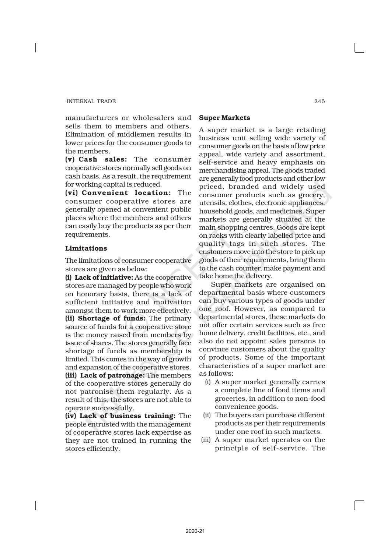manufacturers or wholesalers and sells them to members and others. Elimination of middlemen results in lower prices for the consumer goods to the members.

(v) Cash sales: The consumer cooperative stores normally sell goods on cash basis. As a result, the requirement for working capital is reduced.

(vi) Convenient location: The consumer cooperative stores are generally opened at convenient public places where the members and others can easily buy the products as per their requirements.

# Limitations

The limitations of consumer cooperative stores are given as below:

(i) Lack of initiative: As the cooperative stores are managed by people who work on honorary basis, there is a lack of sufficient initiative and motivation amongst them to work more effectively. (ii) Shortage of funds: The primary source of funds for a cooperative store is the money raised from members by issue of shares. The stores generally face shortage of funds as membership is limited. This comes in the way of growth and expansion of the cooperative stores. (iii) Lack of patronage: The members of the cooperative stores generally do not patronise them regularly. As a result of this, the stores are not able to

operate successfully. (iv) Lack of business training: The people entrusted with the management of cooperative stores lack expertise as they are not trained in running the stores efficiently.

#### Super Markets

A super market is a large retailing business unit selling wide variety of consumer goods on the basis of low price appeal, wide variety and assortment, self-service and heavy emphasis on merchandising appeal. The goods traded are generally food products and other low priced, branded and widely used consumer products such as grocery, utensils, clothes, electronic appliances, household goods, and medicines. Super markets are generally situated at the main shopping centres. Goods are kept on racks with clearly labelled price and quality tags in such stores. The customers move into the store to pick up goods of their requirements, bring them to the cash counter, make payment and take home the delivery.

Super markets are organised on departmental basis where customers can buy various types of goods under one roof. However, as compared to departmental stores, these markets do not offer certain services such as free home delivery, credit facilities, etc., and also do not appoint sales persons to convince customers about the quality of products. Some of the important characteristics of a super market are as follows:

- (i) A super market generally carries a complete line of food items and groceries, in addition to non-food convenience goods.
- (ii) The buyers can purchase different products as per their requirements under one roof in such markets.
- (iii) A super market operates on the principle of self-service. The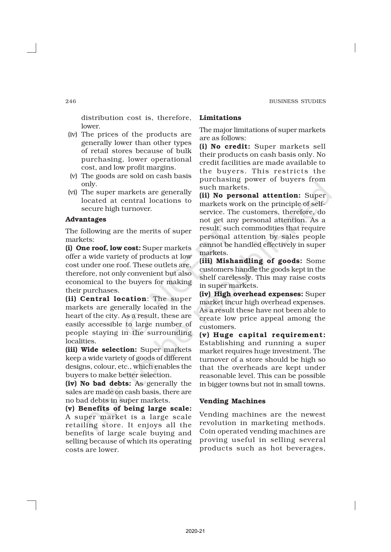distribution cost is, therefore, lower.

- (iv) The prices of the products are generally lower than other types of retail stores because of bulk purchasing, lower operational cost, and low profit margins.
- (v) The goods are sold on cash basis only.
- (vi) The super markets are generally located at central locations to secure high turnover.

# Advantages

The following are the merits of super markets:

(i) One roof, low cost: Super markets offer a wide variety of products at low cost under one roof. These outlets are, therefore, not only convenient but also economical to the buyers for making their purchases.

(ii) Central location: The super markets are generally located in the heart of the city. As a result, these are easily accessible to large number of people staying in the surrounding localities.

(iii) Wide selection: Super markets keep a wide variety of goods of different designs, colour, etc., which enables the buyers to make better selection.

(iv) No bad debts: As generally the sales are made on cash basis, there are no bad debts in super markets.

(v) Benefits of being large scale: A super market is a large scale retailing store. It enjoys all the benefits of large scale buying and selling because of which its operating costs are lower.

# Limitations

The major limitations of super markets are as follows:

(i) No credit: Super markets sell their products on cash basis only. No credit facilities are made available to the buyers. This restricts the purchasing power of buyers from such markets.

(ii) No personal attention: Super markets work on the principle of selfservice. The customers, therefore, do not get any personal attention. As a result, such commodities that require personal attention by sales people cannot be handled effectively in super markets.

(iii) Mishandling of goods: Some customers handle the goods kept in the shelf carelessly. This may raise costs in super markets.

(iv) High overhead expenses: Super market incur high overhead expenses. As a result these have not been able to create low price appeal among the customers.

(v) Huge capital requirement: Establishing and running a super market requires huge investment. The turnover of a store should be high so that the overheads are kept under reasonable level. This can be possible in bigger towns but not in small towns.

#### Vending Machines

Vending machines are the newest revolution in marketing methods. Coin operated vending machines are proving useful in selling several products such as hot beverages,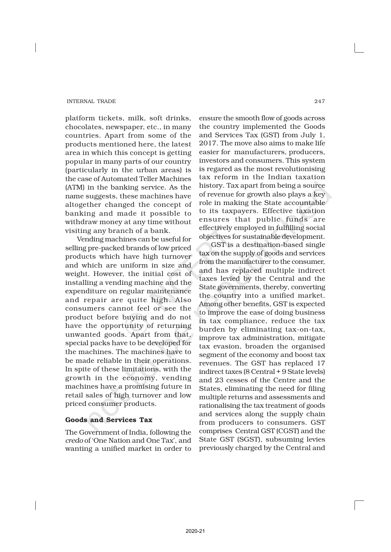platform tickets, milk, soft drinks, chocolates, newspaper, etc., in many countries. Apart from some of the products mentioned here, the latest area in which this concept is getting popular in many parts of our country (particularly in the urban areas) is the case of Automated Teller Machines (ATM) in the banking service. As the name suggests, these machines have altogether changed the concept of banking and made it possible to withdraw money at any time without visiting any branch of a bank.

Vending machines can be useful for selling pre-packed brands of low priced products which have high turnover and which are uniform in size and weight. However, the initial cost of installing a vending machine and the expenditure on regular maintenance and repair are quite high. Also consumers cannot feel or see the product before buying and do not have the opportunity of returning unwanted goods. Apart from that, special packs have to be developed for the machines. The machines have to be made reliable in their operations. In spite of these limitations, with the growth in the economy, vending machines have a promising future in retail sales of high turnover and low priced consumer products.

# Goods and Services Tax

The Government of India, following the *credo* of 'One Nation and One Tax', and wanting a unified market in order to

ensure the smooth flow of goods across the country implemented the Goods and Services Tax (GST) from July 1, 2017. The move also aims to make life easier for manufacturers, producers, investors and consumers. This system is regared as the most revolutionising tax reform in the Indian taxation history. Tax apart from being a source of revenue for growth also plays a key role in making the State accountable to its taxpayers. Effective taxation ensures that public funds are effectively employed in fulfilling social objectives for sustainable development.

GST is a destination-based single tax on the supply of goods and services from the manufacturer to the consumer, and has replaced multiple indirect taxes levied by the Central and the State governments, thereby, converting the country into a unified market. Among other benefits, GST is expected to improve the ease of doing business in tax compliance, reduce the tax burden by eliminating tax-on-tax, improve tax administration, mitigate tax evasion, broaden the organised segment of the economy and boost tax revenues. The GST has replaced 17 indirect taxes (8 Central + 9 State levels) and 23 cesses of the Centre and the States, eliminating the need for filing multiple returns and assessments and rationalising the tax treatment of goods and services along the supply chain from producers to consumers. GST comprises Central GST (CGST) and the State GST (SGST), subsuming levies previously charged by the Central and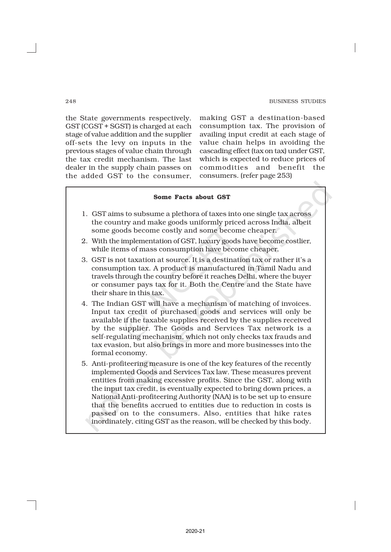the State governments respectively. GST (CGST + SGST) is charged at each stage of value addition and the supplier off-sets the levy on inputs in the previous stages of value chain through the tax credit mechanism. The last dealer in the supply chain passes on the added GST to the consumer,

making GST a destination-based consumption tax. The provision of availing input credit at each stage of value chain helps in avoiding the cascading effect (tax on tax) under GST, which is expected to reduce prices of commodities and benefit the consumers. (refer page 253)

# Some Facts about GST 1. GST aims to subsume a plethora of taxes into one single tax across the country and make goods uniformly priced across India, albeit some goods become costly and some become cheaper. 2. With the implementation of GST, luxury goods have become costlier, while items of mass consumption have become cheaper. 3. GST is not taxation at source. It is a destination tax or rather it's a consumption tax. A product is manufactured in Tamil Nadu and travels through the country before it reaches Delhi, where the buyer or consumer pays tax for it. Both the Centre and the State have their share in this tax. 4. The Indian GST will have a mechanism of matching of invoices. Input tax credit of purchased goods and services will only be available if the taxable supplies received by the supplies received by the supplier. The Goods and Services Tax network is a self-regulating mechanism, which not only checks tax frauds and tax evasion, but also brings in more and more businesses into the formal economy. 5. Anti-profiteering measure is one of the key features of the recently implemented Goods and Services Tax law. These measures prevent entities from making excessive profits. Since the GST, along with the input tax credit, is eventually expected to bring down prices, a National Anti-profiteering Authority (NAA) is to be set up to ensure that the benefits accrued to entities due to reduction in costs is passed on to the consumers. Also, entities that hike rates inordinately, citing GST as the reason, will be checked by this body.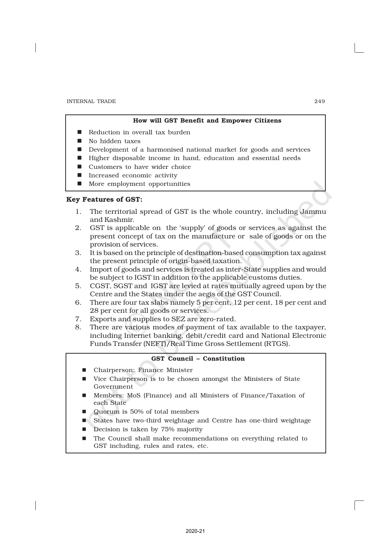#### How will GST Benefit and Empower Citizens

- Reduction in overall tax burden
- $\blacksquare$  No hidden taxes
- Development of a harmonised national market for goods and services
- n Higher disposable income in hand, education and essential needs
- $\blacksquare$  Customers to have wider choice
- $\blacksquare$  Increased economic activity
- More employment opportunities

# Key Features of GST:

- 1. The territorial spread of GST is the whole country, including Jammu and Kashmir.
- 2. GST is applicable on the 'supply' of goods or services as against the present concept of tax on the manufacture or sale of goods or on the provision of services.
- 3. It is based on the principle of destination-based consumption tax against the present principle of origin-based taxation.
- 4. Import of goods and services is treated as inter-State supplies and would be subject to IGST in addition to the applicable customs duties.
- 5. CGST, SGST and IGST are levied at rates mutually agreed upon by the Centre and the States under the aegis of the GST Council.
- 6. There are four tax slabs namely 5 per cent, 12 per cent, 18 per cent and 28 per cent for all goods or services.
- 7. Exports and supplies to SEZ are zero-rated.
- 8. There are various modes of payment of tax available to the taxpayer, including Internet banking, debit/credit card and National Electronic Funds Transfer (NEFT)/Real Time Gross Settlement (RTGS).

#### GST Council – Constitution

- Chairperson: Finance Minister
- Vice Chairperson is to be chosen amongst the Ministers of State Government
- n Members: MoS (Finance) and all Ministers of Finance/Taxation of each State
- n Quorum is 50% of total members
- n States have two-third weightage and Centre has one-third weightage
- Decision is taken by 75% majority
- The Council shall make recommendations on everything related to GST including, rules and rates, etc.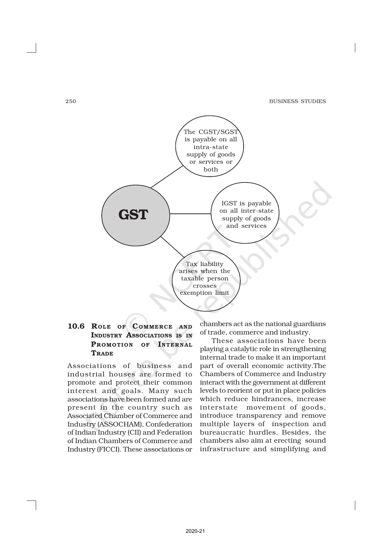250 BUSINESS STUDIES



# 10.6 ROLE OF COMMERCE AND INDUSTRY ASSOCIATIONS IS IN PROMOTION OF INTERNAL **TRADE**

Associations of business and industrial houses are formed to promote and protect their common interest and goals. Many such associations have been formed and are present in the country such as Associated Chamber of Commerce and Industry (ASSOCHAM), Confederation of Indian Industry (CII) and Federation of Indian Chambers of Commerce and Industry (FICCI). These associations or chambers act as the national guardians of trade, commerce and industry.

These associations have been playing a catalytic role in strengthening internal trade to make it an important part of overall economic activity.The Chambers of Commerce and Industry interact with the government at different levels to reorient or put in place policies which reduce hindrances, increase interstate movement of goods, introduce transparency and remove multiple layers of inspection and bureaucratic hurdles. Besides, the chambers also aim at erecting sound infrastructure and simplifying and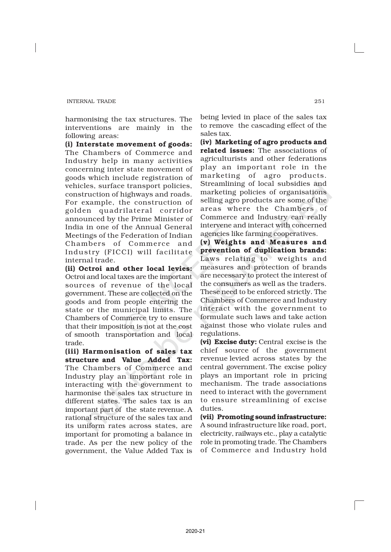harmonising the tax structures. The interventions are mainly in the following areas:

(i) Interstate movement of goods: The Chambers of Commerce and Industry help in many activities concerning inter state movement of goods which include registration of vehicles, surface transport policies, construction of highways and roads. For example, the construction of golden quadrilateral corridor announced by the Prime Minister of India in one of the Annual General Meetings of the Federation of Indian Chambers of Commerce and Industry (FICCI) will facilitate internal trade.

(ii) Octroi and other local levies: Octroi and local taxes are the important sources of revenue of the local government. These are collected on the goods and from people entering the state or the municipal limits. The Chambers of Commerce try to ensure that their imposition is not at the cost of smooth transportation and local trade.

(iii) Harmonisation of sales tax structure and Value Added Tax: The Chambers of Commerce and Industry play an important role in interacting with the government to harmonise the sales tax structure in different states. The sales tax is an important part of the state revenue. A rational structure of the sales tax and its uniform rates across states, are important for promoting a balance in trade. As per the new policy of the government, the Value Added Tax is being levied in place of the sales tax to remove the cascading effect of the sales tax.

(iv) Marketing of agro products and related issues: The associations of agriculturists and other federations play an important role in the marketing of agro products. Streamlining of local subsidies and marketing policies of organisations selling agro products are some of the areas where the Chambers of Commerce and Industry can really intervene and interact with concerned agencies like farming cooperatives.

(v) Weights and Measures and prevention of duplication brands: Laws relating to weights and measures and protection of brands are necessary to protect the interest of the consumers as well as the traders. These need to be enforced strictly. The Chambers of Commerce and Industry interact with the government to formulate such laws and take action against those who violate rules and regulations.

(vi) Excise duty: Central excise is the chief source of the government revenue levied across states by the central government. The excise policy plays an important role in pricing mechanism. The trade associations need to interact with the government to ensure streamlining of excise duties.

(vii) Promoting sound infrastructure: A sound infrastructure like road, port, electricity, railways etc., play a catalytic role in promoting trade. The Chambers of Commerce and Industry hold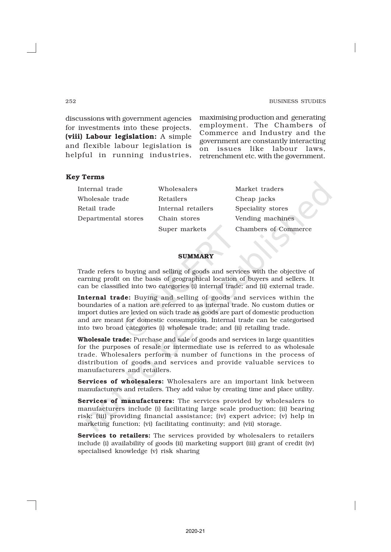#### 252 BUSINESS STUDIES

discussions with government agencies for investments into these projects. (viii) Labour legislation: A simple and flexible labour legislation is helpful in running industries, maximising production and generating employment. The Chambers of Commerce and Industry and the government are constantly interacting on issues like labour laws, retrenchment etc. with the government.

#### Key Terms

| Internal trade      | Wholesalers        | Market traders       |  |
|---------------------|--------------------|----------------------|--|
| Wholesale trade     | Retailers          | Cheap jacks          |  |
| Retail trade        | Internal retailers | Speciality stores    |  |
| Departmental stores | Chain stores       | Vending machines     |  |
|                     | Super markets      | Chambers of Commerce |  |
|                     |                    |                      |  |

#### **SUMMARY**

Trade refers to buying and selling of goods and services with the objective of earning profit on the basis of geographical location of buyers and sellers. It can be classified into two categories (i) internal trade; and (ii) external trade.

Internal trade: Buying and selling of goods and services within the boundaries of a nation are referred to as internal trade. No custom duties or import duties are levied on such trade as goods are part of domestic production and are meant for domestic consumption. Internal trade can be categorised into two broad categories (i) wholesale trade; and (ii) retailing trade.

Wholesale trade: Purchase and sale of goods and services in large quantities for the purposes of resale or intermediate use is referred to as wholesale trade. Wholesalers perform a number of functions in the process of distribution of goods and services and provide valuable services to manufacturers and retailers.

Services of wholesalers: Wholesalers are an important link between manufacturers and retailers. They add value by creating time and place utility.

Services of manufacturers: The services provided by wholesalers to manufacturers include (i) facilitating large scale production; (ii) bearing risk; (iii) providing financial assistance; (iv) expert advice; (v) help in marketing function; (vi) facilitating continuity; and (vii) storage.

**Services to retailers:** The services provided by wholesalers to retailers include (i) availability of goods (ii) marketing support (iii) grant of credit (iv) specialised knowledge (v) risk sharing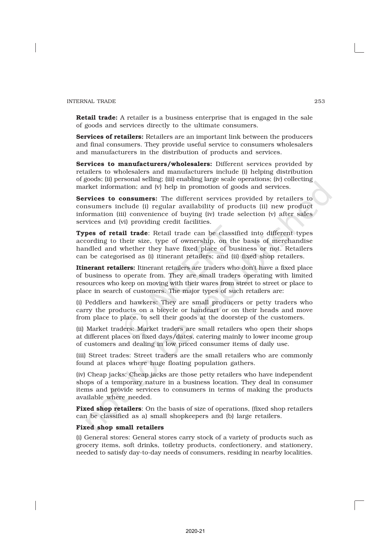Retail trade: A retailer is a business enterprise that is engaged in the sale of goods and services directly to the ultimate consumers.

Services of retailers: Retailers are an important link between the producers and final consumers. They provide useful service to consumers wholesalers and manufacturers in the distribution of products and services.

Services to manufacturers/wholesalers: Different services provided by retailers to wholesalers and manufacturers include (i) helping distribution of goods; (ii) personal selling; (iii) enabling large scale operations; (iv) collecting market information; and (v) help in promotion of goods and services.

Services to consumers: The different services provided by retailers to consumers include (i) regular availability of products (ii) new product information (iii) convenience of buying (iv) trade selection (v) after sales services and (vi) providing credit facilities.

Types of retail trade: Retail trade can be classified into different types according to their size, type of ownership, on the basis of merchandise handled and whether they have fixed place of business or not. Retailers can be categorised as (i) itinerant retailers; and (ii) fixed shop retailers.

Itinerant retailers: Itinerant retailers are traders who don't have a fixed place of business to operate from. They are small traders operating with limited resources who keep on moving with their wares from street to street or place to place in search of customers. The major types of such retailers are:

(i) Peddlers and hawkers: They are small producers or petty traders who carry the products on a bicycle or handcart or on their heads and move from place to place, to sell their goods at the doorstep of the customers.

(ii) Market traders: Market traders are small retailers who open their shops at different places on fixed days/dates, catering mainly to lower income group of customers and dealing in low priced consumer items of daily use.

(iii) Street trades: Street traders are the small retailers who are commonly found at places where huge floating population gathers.

(iv) Cheap jacks: Cheap jacks are those petty retailers who have independent shops of a temporary nature in a business location. They deal in consumer items and provide services to consumers in terms of making the products available where needed.

**Fixed shop retailers:** On the basis of size of operations, (fixed shop retailers can be classified as a) small shopkeepers and (b) large retailers.

#### Fixed shop small retailers

(i) General stores: General stores carry stock of a variety of products such as grocery items, soft drinks, toiletry products, confectionery, and stationery, needed to satisfy day-to-day needs of consumers, residing in nearby localities.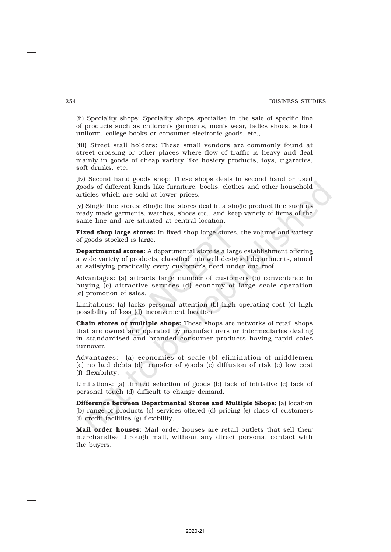(ii) Speciality shops: Speciality shops specialise in the sale of specific line of products such as children's garments, men's wear, ladies shoes, school uniform, college books or consumer electronic goods, etc.,

(iii) Street stall holders: These small vendors are commonly found at street crossing or other places where flow of traffic is heavy and deal mainly in goods of cheap variety like hosiery products, toys, cigarettes, soft drinks, etc.

(iv) Second hand goods shop: These shops deals in second hand or used goods of different kinds like furniture, books, clothes and other household articles which are sold at lower prices.

(v) Single line stores: Single line stores deal in a single product line such as ready made garments, watches, shoes etc., and keep variety of items of the same line and are situated at central location.

Fixed shop large stores: In fixed shop large stores, the volume and variety of goods stocked is large.

Departmental stores: A departmental store is a large establishment offering a wide variety of products, classified into well-designed departments, aimed at satisfying practically every customer's need under one roof.

Advantages: (a) attracts large number of customers (b) convenience in buying (c) attractive services (d) economy of large scale operation (e) promotion of sales.

Limitations: (a) lacks personal attention (b) high operating cost (c) high possibility of loss (d) inconvenient location.

Chain stores or multiple shops: These shops are networks of retail shops that are owned and operated by manufacturers or intermediaries dealing in standardised and branded consumer products having rapid sales turnover.

Advantages: (a) economies of scale (b) elimination of middlemen (c) no bad debts (d) transfer of goods (e) diffusion of risk (e) low cost (f) flexibility.

Limitations: (a) limited selection of goods (b) lack of initiative (c) lack of personal touch (d) difficult to change demand.

Difference between Departmental Stores and Multiple Shops: (a) location (b) range of products (c) services offered (d) pricing (e) class of customers (f) credit facilities (g) flexibility.

Mail order houses: Mail order houses are retail outlets that sell their merchandise through mail, without any direct personal contact with the buyers.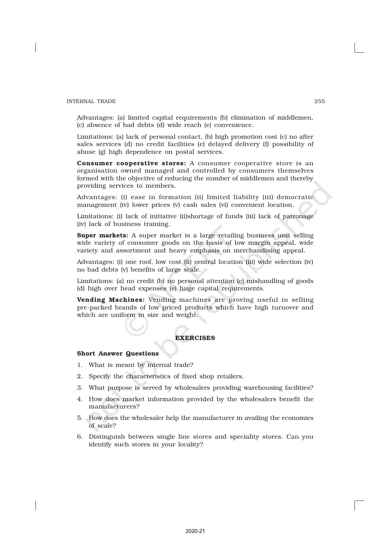Advantages: (a) limited capital requirements (b) elimination of middlemen, (c) absence of bad debts (d) wide reach (e) convenience.

Limitations: (a) lack of personal contact, (b) high promotion cost (c) no after sales services (d) no credit facilities (e) delayed delivery (f) possibility of abuse (g) high dependence on postal services.

Consumer cooperative stores: A consumer cooperative store is an organisation owned managed and controlled by consumers themselves formed with the objective of reducing the number of middlemen and thereby providing services to members.

Advantages: (i) ease in formation (ii) limited liability (iii) democratic management (iv) lower prices (v) cash sales (vi) convenient location.

Limitations: (i) lack of initiative (ii)shortage of funds (iii) lack of patronage (iv) lack of business training.

Super markets: A super market is a large retailing business unit selling wide variety of consumer goods on the basis of low margin appeal, wide variety and assortment and heavy emphasis on merchandising appeal.

Advantages: (i) one roof, low cost (ii) central location (iii) wide selection (iv) no bad debts (v) benefits of large scale.

Limitations: (a) no credit (b) no personal attention (c) mishandling of goods (d) high over head expenses (e) huge capital requirements.

Vending Machines: Vending machines are proving useful in selling pre-packed brands of low priced products which have high turnover and which are uniform in size and weight.

#### **EXERCISES**

#### Short Answer Questions

- 1. What is meant by internal trade?
- 2. Specify the characteristics of fixed shop retailers.
- 3. What purpose is served by wholesalers providing warehousing facilities?
- 4. How does market information provided by the wholesalers benefit the manufacturers?
- 5. How does the wholesaler help the manufacturer in availing the economies of scale?
- 6. Distinguish between single line stores and speciality stores. Can you identify such stores in your locality?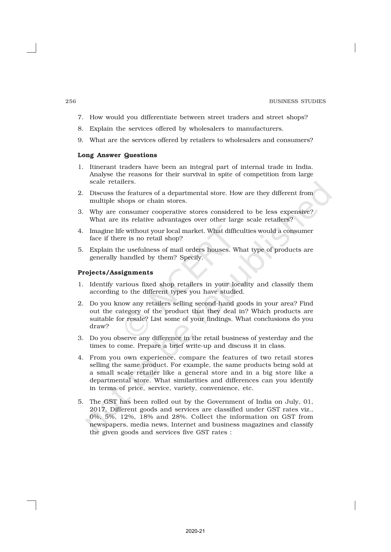- 7. How would you differentiate between street traders and street shops?
- 8. Explain the services offered by wholesalers to manufacturers.
- 9. What are the services offered by retailers to wholesalers and consumers?

#### Long Answer Questions

- 1. Itinerant traders have been an integral part of internal trade in India. Analyse the reasons for their survival in spite of competition from large scale retailers.
- 2. Discuss the features of a departmental store. How are they different from multiple shops or chain stores.
- 3. Why are consumer cooperative stores considered to be less expensive? What are its relative advantages over other large scale retailers?
- 4. Imagine life without your local market. What difficulties would a consumer face if there is no retail shop?
- 5. Explain the usefulness of mail orders houses. What type of products are generally handled by them? Specify.

#### Projects/Assignments

- 1. Identify various fixed shop retailers in your locality and classify them according to the different types you have studied.
- 2. Do you know any retailers selling second-hand goods in your area? Find out the category of the product that they deal in? Which products are suitable for resale? List some of your findings. What conclusions do you draw?
- 3. Do you observe any difference in the retail business of yesterday and the times to come. Prepare a brief write-up and discuss it in class.
- 4. From you own experience, compare the features of two retail stores selling the same product. For example, the same products being sold at a small scale retailer like a general store and in a big store like a departmental store. What similarities and differences can you identify in terms of price, service, variety, convenience, etc.
- 5. The GST has been rolled out by the Government of India on July, 01, 2017. Different goods and services are classified under GST rates viz., 0%, 5%, 12%, 18% and 28%. Collect the information on GST from newspapers, media news, Internet and business magazines and classify the given goods and services five GST rates :